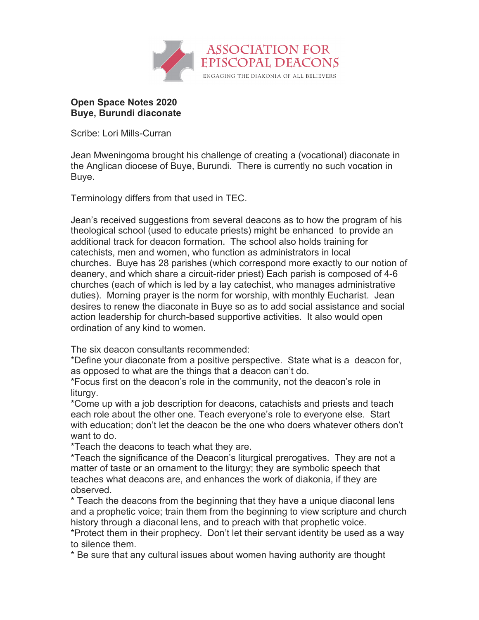

## **Open Space Notes 2020 Buye, Burundi diaconate**

Scribe: Lori Mills-Curran

Jean Mweningoma brought his challenge of creating a (vocational) diaconate in the Anglican diocese of Buye, Burundi. There is currently no such vocation in Buye.

Terminology differs from that used in TEC.

Jean's received suggestions from several deacons as to how the program of his theological school (used to educate priests) might be enhanced to provide an additional track for deacon formation. The school also holds training for catechists, men and women, who function as administrators in local churches. Buye has 28 parishes (which correspond more exactly to our notion of deanery, and which share a circuit-rider priest) Each parish is composed of 4-6 churches (each of which is led by a lay catechist, who manages administrative duties). Morning prayer is the norm for worship, with monthly Eucharist. Jean desires to renew the diaconate in Buye so as to add social assistance and social action leadership for church-based supportive activities. It also would open ordination of any kind to women.

The six deacon consultants recommended:

\*Define your diaconate from a positive perspective. State what is a deacon for, as opposed to what are the things that a deacon can't do.

\*Focus first on the deacon's role in the community, not the deacon's role in liturgy.

\*Come up with a job description for deacons, catachists and priests and teach each role about the other one. Teach everyone's role to everyone else. Start with education; don't let the deacon be the one who doers whatever others don't want to do.

\*Teach the deacons to teach what they are.

\*Teach the significance of the Deacon's liturgical prerogatives. They are not a matter of taste or an ornament to the liturgy; they are symbolic speech that teaches what deacons are, and enhances the work of diakonia, if they are observed.

\* Teach the deacons from the beginning that they have a unique diaconal lens and a prophetic voice; train them from the beginning to view scripture and church history through a diaconal lens, and to preach with that prophetic voice.

\*Protect them in their prophecy. Don't let their servant identity be used as a way to silence them.

\* Be sure that any cultural issues about women having authority are thought